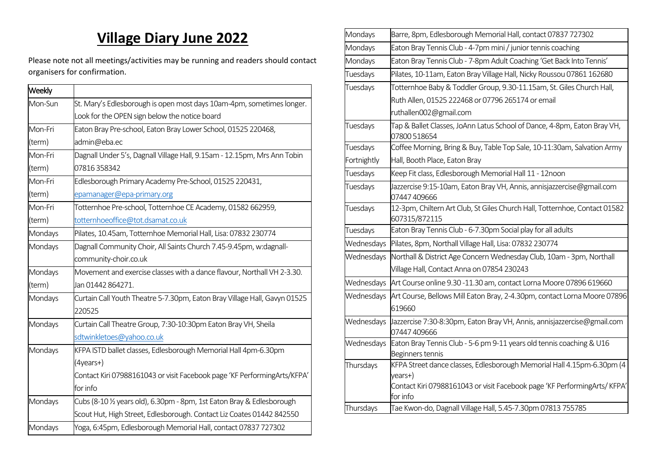## **Village Diary June 2022**

Please note not all meetings/activities may be running and readers should contact organisers for confirmation.

| Weekly  |                                                                           |
|---------|---------------------------------------------------------------------------|
| Mon-Sun | St. Mary's Edlesborough is open most days 10am-4pm, sometimes longer.     |
|         | Look for the OPEN sign below the notice board                             |
| Mon-Fri | Eaton Bray Pre-school, Eaton Bray Lower School, 01525 220468,             |
| (term)  | admin@eba.ec                                                              |
| Mon-Fri | Dagnall Under 5's, Dagnall Village Hall, 9.15am - 12.15pm, Mrs Ann Tobin  |
| (term)  | 07816358342                                                               |
| Mon-Fri | Edlesborough Primary Academy Pre-School, 01525 220431,                    |
| (term)  | epamanager@epa-primary.org                                                |
| Mon-Fri | Totternhoe Pre-school, Totternhoe CE Academy, 01582 662959,               |
| (term)  | totternhoeoffice@tot.dsamat.co.uk                                         |
| Mondays | Pilates, 10.45am, Totternhoe Memorial Hall, Lisa: 07832 230774            |
| Mondays | Dagnall Community Choir, All Saints Church 7.45-9.45pm, w:dagnall-        |
|         | community-choir.co.uk                                                     |
| Mondays | Movement and exercise classes with a dance flavour, Northall VH 2-3.30.   |
| (term)  | Jan 01442 864271.                                                         |
| Mondays | Curtain Call Youth Theatre 5-7.30pm, Eaton Bray Village Hall, Gavyn 01525 |
|         | 220525                                                                    |
| Mondays | Curtain Call Theatre Group, 7:30-10:30pm Eaton Bray VH, Sheila            |
|         | sdtwinkletoes@yahoo.co.uk                                                 |
| Mondays | KFPA ISTD ballet classes, Edlesborough Memorial Hall 4pm-6.30pm           |
|         | (4years+)                                                                 |
|         | Contact Kiri 07988161043 or visit Facebook page 'KF PerformingArts/KFPA'  |
|         | for info                                                                  |
| Mondays | Cubs (8-10 1/2 years old), 6.30pm - 8pm, 1st Eaton Bray & Edlesborough    |
|         | Scout Hut, High Street, Edlesborough. Contact Liz Coates 01442 842550     |
| Mondays | Yoga, 6:45pm, Edlesborough Memorial Hall, contact 07837 727302            |

| Mondays     | Barre, 8pm, Edlesborough Memorial Hall, contact 07837 727302                                     |
|-------------|--------------------------------------------------------------------------------------------------|
| Mondays     | Eaton Bray Tennis Club - 4-7pm mini / junior tennis coaching                                     |
| Mondays     | Eaton Bray Tennis Club - 7-8pm Adult Coaching 'Get Back Into Tennis'                             |
| Tuesdays    | Pilates, 10-11am, Eaton Bray Village Hall, Nicky Roussou 07861 162680                            |
| Tuesdays    | Totternhoe Baby & Toddler Group, 9.30-11.15am, St. Giles Church Hall,                            |
|             | Ruth Allen, 01525 222468 or 07796 265174 or email                                                |
|             | ruthallen002@gmail.com                                                                           |
| Tuesdays    | Tap & Ballet Classes, JoAnn Latus School of Dance, 4-8pm, Eaton Bray VH,<br>07800 518654         |
| Tuesdays    | Coffee Morning, Bring & Buy, Table Top Sale, 10-11:30am, Salvation Army                          |
| Fortnightly | Hall, Booth Place, Eaton Bray                                                                    |
| Tuesdays    | Keep Fit class, Edlesborough Memorial Hall 11 - 12noon                                           |
| Tuesdays    | Jazzercise 9:15-10am, Eaton Bray VH, Annis, annisjazzercise@gmail.com<br>07447 409666            |
| Tuesdays    | 12-3pm, Chiltern Art Club, St Giles Church Hall, Totternhoe, Contact 01582<br>607315/872115      |
| Tuesdays    | Eaton Bray Tennis Club - 6-7.30pm Social play for all adults                                     |
| Wednesdays  | Pilates, 8pm, Northall Village Hall, Lisa: 07832 230774                                          |
| Wednesdays  | Northall & District Age Concern Wednesday Club, 10am - 3pm, Northall                             |
|             | Village Hall, Contact Anna on 07854 230243                                                       |
| Wednesdays  | Art Course online 9.30 -11.30 am, contact Lorna Moore 07896 619660                               |
| Wednesdays  | Art Course, Bellows Mill Eaton Bray, 2-4.30pm, contact Lorna Moore 07896<br>619660               |
| Wednesdays  | Jazzercise 7:30-8:30pm, Eaton Bray VH, Annis, annisjazzercise@gmail.com<br>07447 409666          |
| Wednesdays  | Eaton Bray Tennis Club - 5-6 pm 9-11 years old tennis coaching & U16<br>Beginners tennis         |
| Thursdays   | KFPA Street dance classes, Edlesborough Memorial Hall 4.15pm-6.30pm (4                           |
|             | years+)<br>Contact Kiri 07988161043 or visit Facebook page 'KF PerformingArts/ KFPA'<br>for info |
| Thursdays   | Tae Kwon-do, Dagnall Village Hall, 5.45-7.30pm 07813 755785                                      |